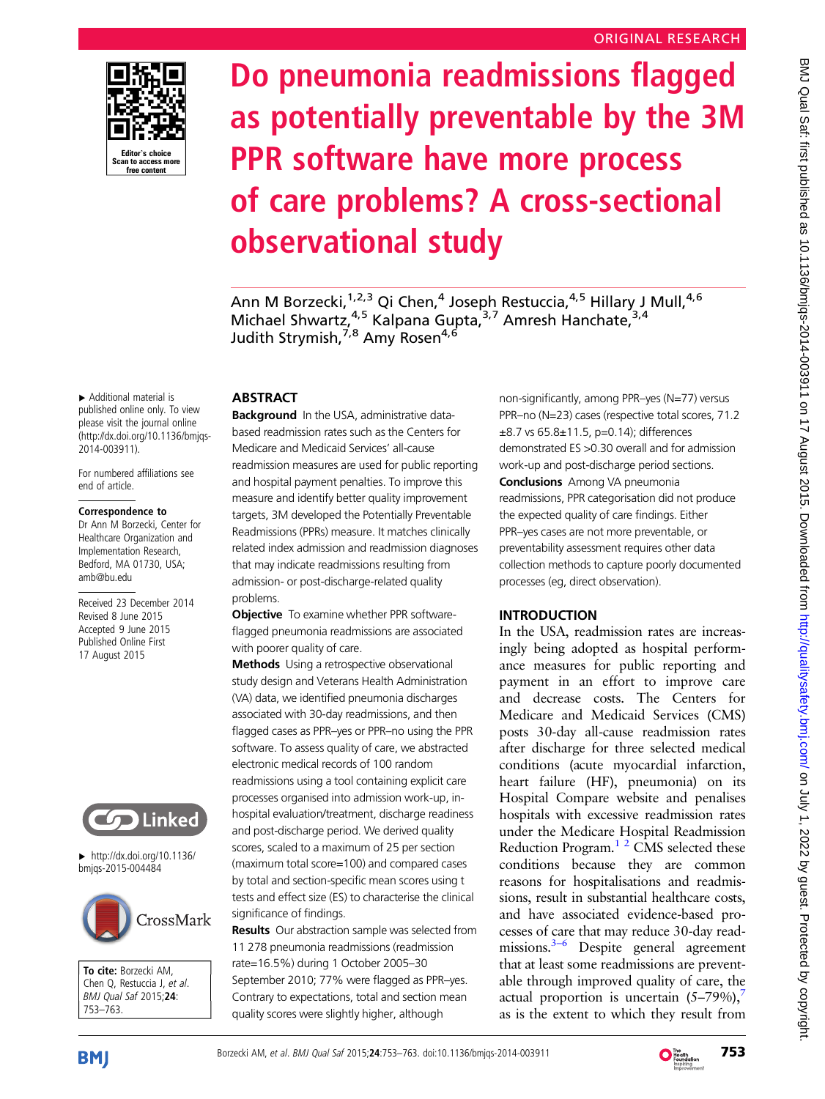

# Do pneumonia readmissions flagged as potentially preventable by the 3M PPR software have more process of care problems? A cross-sectional observational study

Ann M Borzecki,<sup>1,2,3</sup> Qi Chen,<sup>4</sup> Joseph Restuccia,<sup>4,5</sup> Hillary J Mull,<sup>4,6</sup> Michael Shwartz, <sup>4,5</sup> Kalpana Gupta, <sup>3,7</sup> Amresh Hanchate, <sup>3,4</sup> Judith Strymish,<sup>7,8</sup> Amy Rosen<sup>4,6</sup>

▸ Additional material is published online only. To view please visit the journal online ([http://dx.doi.org/10.1136/bmjqs-](http://dx.doi.org/10.1136/bmjqs-2014-003911)[2014-003911](http://dx.doi.org/10.1136/bmjqs-2014-003911)).

For numbered affiliations see end of article.

#### Correspondence to

Dr Ann M Borzecki, Center for Healthcare Organization and Implementation Research, Bedford, MA 01730, USA; amb@bu.edu

Received 23 December 2014 Revised 8 June 2015 Accepted 9 June 2015 Published Online First 17 August 2015



▸ [http://dx.doi.org/10.1136/](http://dx.doi.org/10.1136/bmjqs-2015-004484) [bmjqs-2015-004484](http://dx.doi.org/10.1136/bmjqs-2015-004484)



To cite: Borzecki AM, Chen Q, Restuccia J, et al. BMJ Qual Saf 2015;24: 753–763.

## **ABSTRACT**

Background In the USA, administrative databased readmission rates such as the Centers for Medicare and Medicaid Services' all-cause readmission measures are used for public reporting and hospital payment penalties. To improve this measure and identify better quality improvement targets, 3M developed the Potentially Preventable Readmissions (PPRs) measure. It matches clinically related index admission and readmission diagnoses that may indicate readmissions resulting from admission- or post-discharge-related quality problems.

**Objective** To examine whether PPR softwareflagged pneumonia readmissions are associated with poorer quality of care.

Methods Using a retrospective observational study design and Veterans Health Administration (VA) data, we identified pneumonia discharges associated with 30-day readmissions, and then flagged cases as PPR–yes or PPR–no using the PPR software. To assess quality of care, we abstracted electronic medical records of 100 random readmissions using a tool containing explicit care processes organised into admission work-up, inhospital evaluation/treatment, discharge readiness and post-discharge period. We derived quality scores, scaled to a maximum of 25 per section (maximum total score=100) and compared cases by total and section-specific mean scores using t tests and effect size (ES) to characterise the clinical significance of findings.

**Results** Our abstraction sample was selected from 11 278 pneumonia readmissions (readmission rate=16.5%) during 1 October 2005–30 September 2010; 77% were flagged as PPR–yes. Contrary to expectations, total and section mean quality scores were slightly higher, although

non-significantly, among PPR–yes (N=77) versus PPR–no (N=23) cases (respective total scores, 71.2 ±8.7 vs 65.8±11.5, p=0.14); differences demonstrated ES >0.30 overall and for admission work-up and post-discharge period sections. **Conclusions** Among VA pneumonia readmissions, PPR categorisation did not produce the expected quality of care findings. Either PPR–yes cases are not more preventable, or preventability assessment requires other data collection methods to capture poorly documented processes (eg, direct observation).

# INTRODUCTION

In the USA, readmission rates are increasingly being adopted as hospital performance measures for public reporting and payment in an effort to improve care and decrease costs. The Centers for Medicare and Medicaid Services (CMS) posts 30-day all-cause readmission rates after discharge for three selected medical conditions (acute myocardial infarction, heart failure (HF), pneumonia) on its Hospital Compare website and penalises hospitals with excessive readmission rates under the Medicare Hospital Readmission Reduction Program.<sup>12</sup> CMS selected these conditions because they are common reasons for hospitalisations and readmissions, result in substantial healthcare costs, and have associated evidence-based processes of care that may reduce 30-day readmissions. $3-6$  Despite general agreement that at least some readmissions are preventable through improved quality of care, the actual proportion is uncertain  $(5-79%)$ , as is the extent to which they result from



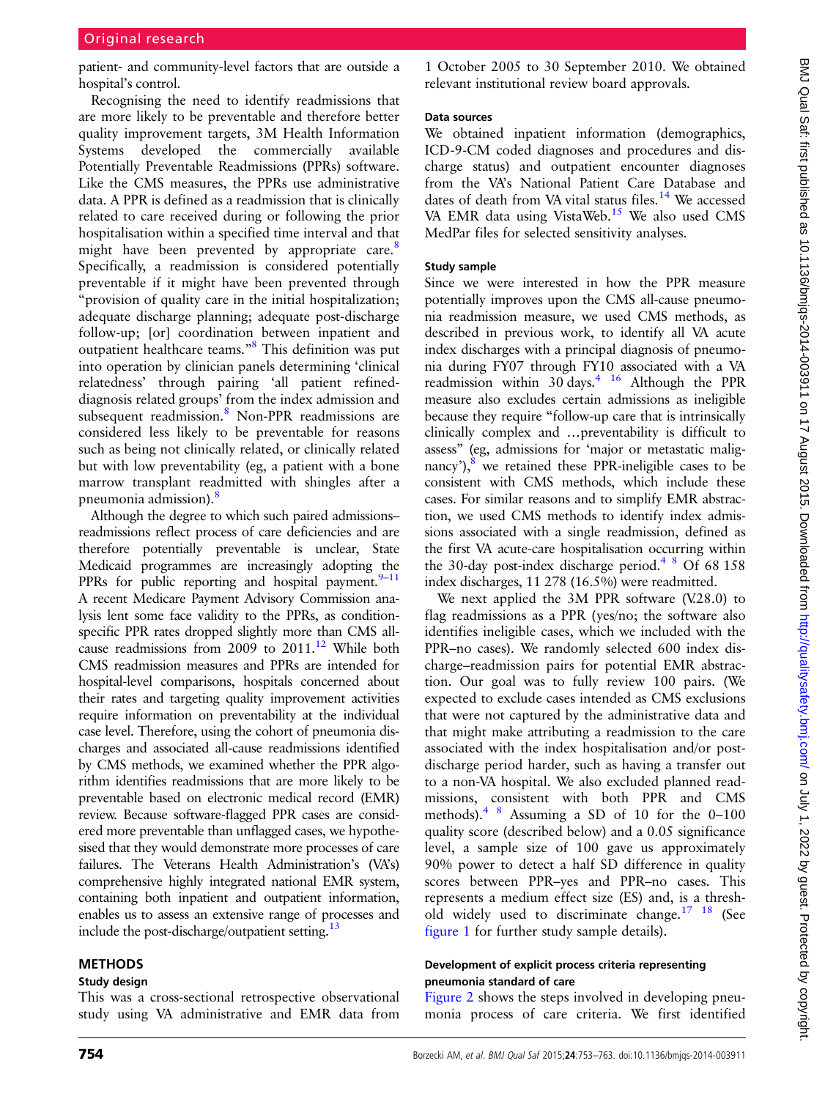patient- and community-level factors that are outside a hospital's control.

Recognising the need to identify readmissions that are more likely to be preventable and therefore better quality improvement targets, 3M Health Information Systems developed the commercially available Potentially Preventable Readmissions (PPRs) software. Like the CMS measures, the PPRs use administrative data. A PPR is defined as a readmission that is clinically related to care received during or following the prior hospitalisation within a specified time interval and that might have been prevented by appropriate care.<sup>[8](#page-9-0)</sup> Specifically, a readmission is considered potentially preventable if it might have been prevented through "provision of quality care in the initial hospitalization; adequate discharge planning; adequate post-discharge follow-up; [or] coordination between inpatient and outpatient healthcare teams."[8](#page-9-0) This definition was put into operation by clinician panels determining 'clinical relatedness' through pairing 'all patient refineddiagnosis related groups' from the index admission and subsequent readmission.<sup>[8](#page-9-0)</sup> Non-PPR readmissions are considered less likely to be preventable for reasons such as being not clinically related, or clinically related but with low preventability (eg, a patient with a bone marrow transplant readmitted with shingles after a pneumonia admission).<sup>[8](#page-9-0)</sup>

Although the degree to which such paired admissions– readmissions reflect process of care deficiencies and are therefore potentially preventable is unclear, State Medicaid programmes are increasingly adopting the PPRs for public reporting and hospital payment. $9-11$  $9-11$ A recent Medicare Payment Advisory Commission analysis lent some face validity to the PPRs, as conditionspecific PPR rates dropped slightly more than CMS allcause readmissions from 2009 to  $2011$ .<sup>[12](#page-9-0)</sup> While both CMS readmission measures and PPRs are intended for hospital-level comparisons, hospitals concerned about their rates and targeting quality improvement activities require information on preventability at the individual case level. Therefore, using the cohort of pneumonia discharges and associated all-cause readmissions identified by CMS methods, we examined whether the PPR algorithm identifies readmissions that are more likely to be preventable based on electronic medical record (EMR) review. Because software-flagged PPR cases are considered more preventable than unflagged cases, we hypothesised that they would demonstrate more processes of care failures. The Veterans Health Administration's (VA's) comprehensive highly integrated national EMR system, containing both inpatient and outpatient information, enables us to assess an extensive range of processes and include the post-discharge/outpatient setting.<sup>[13](#page-9-0)</sup>

## METHODS

#### Study design

This was a cross-sectional retrospective observational study using VA administrative and EMR data from

1 October 2005 to 30 September 2010. We obtained relevant institutional review board approvals.

#### Data sources

We obtained inpatient information (demographics, ICD-9-CM coded diagnoses and procedures and discharge status) and outpatient encounter diagnoses from the VA's National Patient Care Database and dates of death from VA vital status files.<sup>[14](#page-9-0)</sup> We accessed VA EMR data using VistaWeb.<sup>[15](#page-9-0)</sup> We also used CMS MedPar files for selected sensitivity analyses.

#### Study sample

Since we were interested in how the PPR measure potentially improves upon the CMS all-cause pneumonia readmission measure, we used CMS methods, as described in previous work, to identify all VA acute index discharges with a principal diagnosis of pneumonia during FY07 through FY10 associated with a VA readmission within  $30$  days.<sup>4</sup> <sup>16</sup> Although the PPR measure also excludes certain admissions as ineligible because they require "follow-up care that is intrinsically clinically complex and …preventability is difficult to assess" (eg, admissions for 'major or metastatic malignancy'), $8$  we retained these PPR-ineligible cases to be consistent with CMS methods, which include these cases. For similar reasons and to simplify EMR abstraction, we used CMS methods to identify index admissions associated with a single readmission, defined as the first VA acute-care hospitalisation occurring within the 30-day post-index discharge period.<sup>4 8</sup> Of 68 158 index discharges, 11 278 (16.5%) were readmitted.

We next applied the 3M PPR software (V.28.0) to flag readmissions as a PPR (yes/no; the software also identifies ineligible cases, which we included with the PPR–no cases). We randomly selected 600 index discharge–readmission pairs for potential EMR abstraction. Our goal was to fully review 100 pairs. (We expected to exclude cases intended as CMS exclusions that were not captured by the administrative data and that might make attributing a readmission to the care associated with the index hospitalisation and/or postdischarge period harder, such as having a transfer out to a non-VA hospital. We also excluded planned readmissions, consistent with both PPR and CMS methods).[4 8](#page-9-0) Assuming a SD of 10 for the 0–100 quality score (described below) and a 0.05 significance level, a sample size of 100 gave us approximately 90% power to detect a half SD difference in quality scores between PPR–yes and PPR–no cases. This represents a medium effect size (ES) and, is a threshold widely used to discriminate change.<sup>17</sup> <sup>18</sup> (See [figure 1](#page-2-0) for further study sample details).

#### Development of explicit process criteria representing pneumonia standard of care

[Figure 2](#page-3-0) shows the steps involved in developing pneumonia process of care criteria. We first identified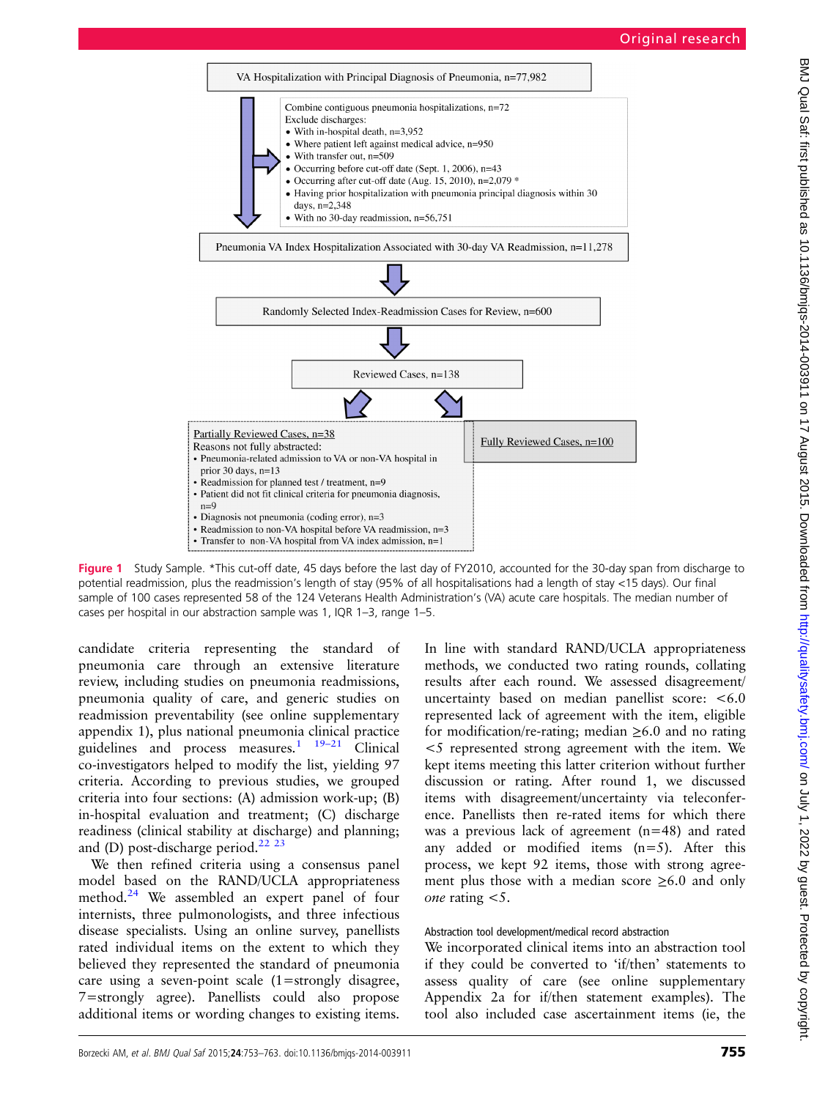<span id="page-2-0"></span>

Figure 1 Study Sample. \*This cut-off date, 45 days before the last day of FY2010, accounted for the 30-day span from discharge to potential readmission, plus the readmission's length of stay (95% of all hospitalisations had a length of stay <15 days). Our final sample of 100 cases represented 58 of the 124 Veterans Health Administration's (VA) acute care hospitals. The median number of cases per hospital in our abstraction sample was 1, IQR 1–3, range 1–5.

candidate criteria representing the standard of pneumonia care through an extensive literature review, including studies on pneumonia readmissions, pneumonia quality of care, and generic studies on readmission preventability (see online supplementary appendix 1), plus national pneumonia clinical practice guidelines and process measures.<sup>[1](#page-8-0)</sup>  $19-21$  $19-21$  Clinical co-investigators helped to modify the list, yielding 97 criteria. According to previous studies, we grouped criteria into four sections: (A) admission work-up; (B) in-hospital evaluation and treatment; (C) discharge readiness (clinical stability at discharge) and planning; and (D) post-discharge period. $^{22}$   $^{23}$ 

We then refined criteria using a consensus panel model based on the RAND/UCLA appropriateness method. $24$  We assembled an expert panel of four internists, three pulmonologists, and three infectious disease specialists. Using an online survey, panellists rated individual items on the extent to which they believed they represented the standard of pneumonia care using a seven-point scale (1=strongly disagree, 7=strongly agree). Panellists could also propose additional items or wording changes to existing items.

In line with standard RAND/UCLA appropriateness methods, we conducted two rating rounds, collating results after each round. We assessed disagreement/ uncertainty based on median panellist score: <6.0 represented lack of agreement with the item, eligible for modification/re-rating; median  $\geq 6.0$  and no rating <5 represented strong agreement with the item. We kept items meeting this latter criterion without further discussion or rating. After round 1, we discussed items with disagreement/uncertainty via teleconference. Panellists then re-rated items for which there was a previous lack of agreement (n=48) and rated any added or modified items (n=5). After this process, we kept 92 items, those with strong agreement plus those with a median score  $\geq 6.0$  and only one rating  $<$ 5.

#### Abstraction tool development/medical record abstraction

We incorporated clinical items into an abstraction tool if they could be converted to 'if/then' statements to assess quality of care (see online supplementary Appendix 2a for if/then statement examples). The tool also included case ascertainment items (ie, the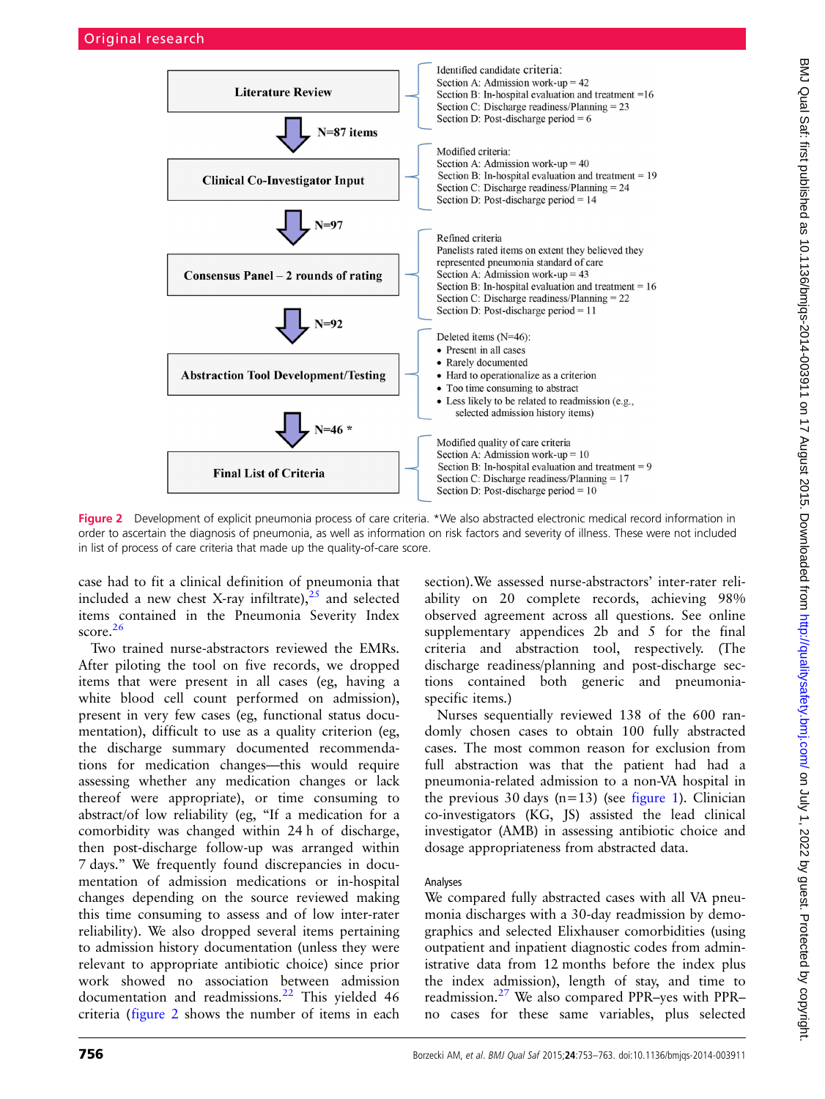<span id="page-3-0"></span>

Figure 2 Development of explicit pneumonia process of care criteria. \*We also abstracted electronic medical record information in order to ascertain the diagnosis of pneumonia, as well as information on risk factors and severity of illness. These were not included in list of process of care criteria that made up the quality-of-care score.

case had to fit a clinical definition of pneumonia that included a new chest X-ray infiltrate),  $25$  and selected items contained in the Pneumonia Severity Index score.<sup>[26](#page-9-0)</sup>

Two trained nurse-abstractors reviewed the EMRs. After piloting the tool on five records, we dropped items that were present in all cases (eg, having a white blood cell count performed on admission), present in very few cases (eg, functional status documentation), difficult to use as a quality criterion (eg, the discharge summary documented recommendations for medication changes—this would require assessing whether any medication changes or lack thereof were appropriate), or time consuming to abstract/of low reliability (eg, "If a medication for a comorbidity was changed within 24 h of discharge, then post-discharge follow-up was arranged within 7 days." We frequently found discrepancies in documentation of admission medications or in-hospital changes depending on the source reviewed making this time consuming to assess and of low inter-rater reliability). We also dropped several items pertaining to admission history documentation (unless they were relevant to appropriate antibiotic choice) since prior work showed no association between admission documentation and readmissions.<sup>[22](#page-9-0)</sup> This yielded 46 criteria (figure 2 shows the number of items in each

section).We assessed nurse-abstractors' inter-rater reliability on 20 complete records, achieving 98% observed agreement across all questions. See online supplementary appendices 2b and 5 for the final criteria and abstraction tool, respectively. (The discharge readiness/planning and post-discharge sections contained both generic and pneumoniaspecific items.)

Nurses sequentially reviewed 138 of the 600 randomly chosen cases to obtain 100 fully abstracted cases. The most common reason for exclusion from full abstraction was that the patient had had a pneumonia-related admission to a non-VA hospital in the previous 30 days  $(n=13)$  (see [figure 1](#page-2-0)). Clinician co-investigators (KG, JS) assisted the lead clinical investigator (AMB) in assessing antibiotic choice and dosage appropriateness from abstracted data.

#### Analyses

We compared fully abstracted cases with all VA pneumonia discharges with a 30-day readmission by demographics and selected Elixhauser comorbidities (using outpatient and inpatient diagnostic codes from administrative data from 12 months before the index plus the index admission), length of stay, and time to readmission.[27](#page-9-0) We also compared PPR–yes with PPR– no cases for these same variables, plus selected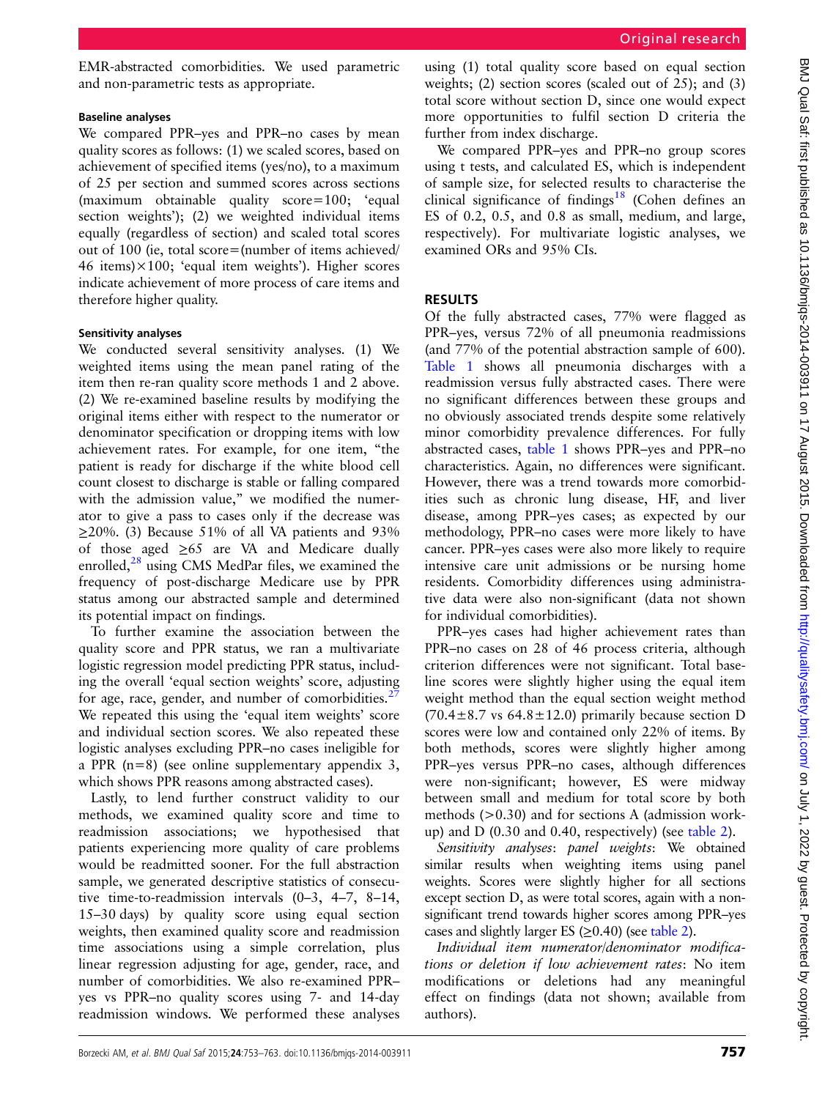BMJ Qual Saf: first published as 10.1136/bmjqs-2014-003911 on 17 August 2015. Downloaded from http://qualitysafety.bmj.com/ on July 1, 2022 by guest. Protected by copyright BMJ Qual Sat: first published as 10.1136/bmjqs-2014-003911 on 17 August 2015. Downloaded from <http://qualitysafety.bmj.com/> on July 1, 2022 by guest. Protected by copyright

EMR-abstracted comorbidities. We used parametric and non-parametric tests as appropriate.

### Baseline analyses

We compared PPR–yes and PPR–no cases by mean quality scores as follows: (1) we scaled scores, based on achievement of specified items (yes/no), to a maximum of 25 per section and summed scores across sections (maximum obtainable quality score=100; 'equal section weights'); (2) we weighted individual items equally (regardless of section) and scaled total scores out of 100 (ie, total score=(number of items achieved/ 46 items) $\times$ 100; 'equal item weights'). Higher scores indicate achievement of more process of care items and therefore higher quality.

## Sensitivity analyses

We conducted several sensitivity analyses. (1) We weighted items using the mean panel rating of the item then re-ran quality score methods 1 and 2 above. (2) We re-examined baseline results by modifying the original items either with respect to the numerator or denominator specification or dropping items with low achievement rates. For example, for one item, "the patient is ready for discharge if the white blood cell count closest to discharge is stable or falling compared with the admission value," we modified the numerator to give a pass to cases only if the decrease was  $\geq$ 20%. (3) Because 51% of all VA patients and 93% of those aged ≥65 are VA and Medicare dually enrolled, $28$  using CMS MedPar files, we examined the frequency of post-discharge Medicare use by PPR status among our abstracted sample and determined its potential impact on findings.

To further examine the association between the quality score and PPR status, we ran a multivariate logistic regression model predicting PPR status, including the overall 'equal section weights' score, adjusting for age, race, gender, and number of comorbidities.<sup>[27](#page-9-0)</sup> We repeated this using the 'equal item weights' score and individual section scores. We also repeated these logistic analyses excluding PPR–no cases ineligible for a PPR (n=8) (see online supplementary appendix 3, which shows PPR reasons among abstracted cases).

Lastly, to lend further construct validity to our methods, we examined quality score and time to readmission associations; we hypothesised that patients experiencing more quality of care problems would be readmitted sooner. For the full abstraction sample, we generated descriptive statistics of consecutive time-to-readmission intervals (0–3, 4–7, 8–14, 15–30 days) by quality score using equal section weights, then examined quality score and readmission time associations using a simple correlation, plus linear regression adjusting for age, gender, race, and number of comorbidities. We also re-examined PPR– yes vs PPR–no quality scores using 7- and 14-day readmission windows. We performed these analyses

using (1) total quality score based on equal section weights; (2) section scores (scaled out of 25); and (3) total score without section D, since one would expect more opportunities to fulfil section D criteria the further from index discharge.

We compared PPR–yes and PPR–no group scores using t tests, and calculated ES, which is independent of sample size, for selected results to characterise the clinical significance of findings<sup>[18](#page-9-0)</sup> (Cohen defines an ES of 0.2, 0.5, and 0.8 as small, medium, and large, respectively). For multivariate logistic analyses, we examined ORs and 95% CIs.

# RESULTS

Of the fully abstracted cases, 77% were flagged as PPR–yes, versus 72% of all pneumonia readmissions (and 77% of the potential abstraction sample of 600). [Table 1](#page-5-0) shows all pneumonia discharges with a readmission versus fully abstracted cases. There were no significant differences between these groups and no obviously associated trends despite some relatively minor comorbidity prevalence differences. For fully abstracted cases, [table 1](#page-5-0) shows PPR–yes and PPR–no characteristics. Again, no differences were significant. However, there was a trend towards more comorbidities such as chronic lung disease, HF, and liver disease, among PPR–yes cases; as expected by our methodology, PPR–no cases were more likely to have cancer. PPR–yes cases were also more likely to require intensive care unit admissions or be nursing home residents. Comorbidity differences using administrative data were also non-significant (data not shown for individual comorbidities).

PPR–yes cases had higher achievement rates than PPR–no cases on 28 of 46 process criteria, although criterion differences were not significant. Total baseline scores were slightly higher using the equal item weight method than the equal section weight method  $(70.4 \pm 8.7 \text{ vs } 64.8 \pm 12.0)$  primarily because section D scores were low and contained only 22% of items. By both methods, scores were slightly higher among PPR–yes versus PPR–no cases, although differences were non-significant; however, ES were midway between small and medium for total score by both methods (>0.30) and for sections A (admission workup) and D (0.30 and 0.40, respectively) (see [table 2\)](#page-6-0).

Sensitivity analyses: panel weights: We obtained similar results when weighting items using panel weights. Scores were slightly higher for all sections except section D, as were total scores, again with a nonsignificant trend towards higher scores among PPR–yes cases and slightly larger ES  $(\geq 0.40)$  (see [table 2](#page-6-0)).

Individual item numerator/denominator modifications or deletion if low achievement rates: No item modifications or deletions had any meaningful effect on findings (data not shown; available from authors).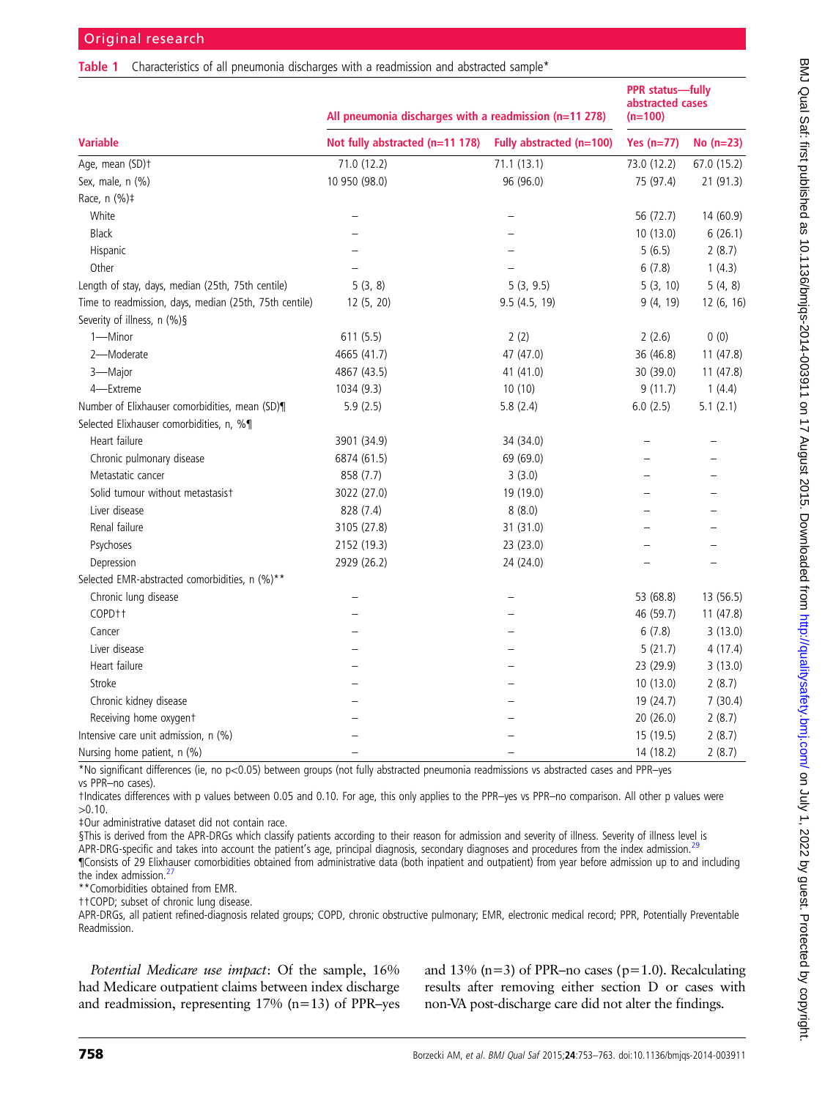#### <span id="page-5-0"></span>Table 1 Characteristics of all pneumonia discharges with a readmission and abstracted sample<sup>\*</sup>

|                                                        | All pneumonia discharges with a readmission (n=11 278) | <b>PPR</b> status-fully<br>abstracted cases<br>$(n=100)$ |              |             |
|--------------------------------------------------------|--------------------------------------------------------|----------------------------------------------------------|--------------|-------------|
| <b>Variable</b>                                        | Not fully abstracted (n=11 178)                        | Fully abstracted (n=100)                                 | Yes $(n=77)$ | No $(n=23)$ |
| Age, mean (SD)+                                        | 71.0 (12.2)                                            | 71.1(13.1)                                               | 73.0 (12.2)  | 67.0 (15.2) |
| Sex, male, n (%)                                       | 10 950 (98.0)                                          | 96 (96.0)                                                | 75 (97.4)    | 21 (91.3)   |
| Race, n (%)#                                           |                                                        |                                                          |              |             |
| White                                                  | $\overline{\phantom{0}}$                               | $\overline{\phantom{0}}$                                 | 56 (72.7)    | 14 (60.9)   |
| <b>Black</b>                                           |                                                        |                                                          | 10(13.0)     | 6(26.1)     |
| Hispanic                                               |                                                        |                                                          | 5(6.5)       | 2(8.7)      |
| Other                                                  |                                                        |                                                          | 6(7.8)       | 1(4.3)      |
| Length of stay, days, median (25th, 75th centile)      | 5(3, 8)                                                | 5(3, 9.5)                                                | 5(3, 10)     | 5(4, 8)     |
| Time to readmission, days, median (25th, 75th centile) | 12 (5, 20)                                             | 9.5 (4.5, 19)                                            | 9(4, 19)     | 12 (6, 16)  |
| Severity of illness, n (%)§                            |                                                        |                                                          |              |             |
| 1-Minor                                                | 611 (5.5)                                              | 2(2)                                                     | 2(2.6)       | 0(0)        |
| 2-Moderate                                             | 4665 (41.7)                                            | 47 (47.0)                                                | 36 (46.8)    | 11(47.8)    |
| 3-Major                                                | 4867 (43.5)                                            | 41 (41.0)                                                | 30 (39.0)    | 11(47.8)    |
| 4-Extreme                                              | 1034 (9.3)                                             | 10(10)                                                   | 9(11.7)      | 1(4.4)      |
| Number of Elixhauser comorbidities, mean (SD)¶         | 5.9(2.5)                                               | 5.8(2.4)                                                 | 6.0(2.5)     | 5.1(2.1)    |
| Selected Elixhauser comorbidities, n, %¶               |                                                        |                                                          |              |             |
| Heart failure                                          | 3901 (34.9)                                            | 34 (34.0)                                                |              |             |
| Chronic pulmonary disease                              | 6874 (61.5)                                            | 69 (69.0)                                                |              |             |
| Metastatic cancer                                      | 858 (7.7)                                              | 3(3.0)                                                   |              |             |
| Solid tumour without metastasist                       | 3022 (27.0)                                            | 19 (19.0)                                                |              |             |
| Liver disease                                          | 828 (7.4)                                              | 8(8.0)                                                   |              |             |
| Renal failure                                          | 3105 (27.8)                                            | 31 (31.0)                                                |              |             |
| Psychoses                                              | 2152 (19.3)                                            | 23 (23.0)                                                |              |             |
| Depression                                             | 2929 (26.2)                                            | 24 (24.0)                                                |              |             |
| Selected EMR-abstracted comorbidities, n (%)**         |                                                        |                                                          |              |             |
| Chronic lung disease                                   |                                                        |                                                          | 53 (68.8)    | 13 (56.5)   |
| COPD <sub>†</sub>                                      |                                                        |                                                          | 46 (59.7)    | 11(47.8)    |
| Cancer                                                 |                                                        |                                                          | 6(7.8)       | 3(13.0)     |
| Liver disease                                          |                                                        |                                                          | 5(21.7)      | 4(17.4)     |
| Heart failure                                          |                                                        |                                                          | 23 (29.9)    | 3(13.0)     |
| Stroke                                                 |                                                        |                                                          | 10(13.0)     | 2(8.7)      |
| Chronic kidney disease                                 |                                                        |                                                          | 19 (24.7)    | 7(30.4)     |
| Receiving home oxygent                                 |                                                        |                                                          | 20 (26.0)    | 2(8.7)      |
| Intensive care unit admission, n (%)                   |                                                        |                                                          | 15 (19.5)    | 2(8.7)      |
| Nursing home patient, n (%)                            |                                                        |                                                          | 14 (18.2)    | 2(8.7)      |

\*No significant differences (ie, no p<0.05) between groups (not fully abstracted pneumonia readmissions vs abstracted cases and PPR–yes vs PPR–no cases).

†Indicates differences with p values between 0.05 and 0.10. For age, this only applies to the PPR–yes vs PPR–no comparison. All other p values were >0.10.

‡Our administrative dataset did not contain race.

§This is derived from the APR-DRGs which classify patients according to their reason for admission and severity of illness. Severity of illness level is APR-DRG-specific and takes into account the patient's age, principal diagnosis, secondary diagnoses and procedures from the index admission.<sup>28</sup> ¶Consists of 29 Elixhauser comorbidities obtained from administrative data (both inpatient and outpatient) from year before admission up to and including the index admission.<sup>2</sup>

\*\*Comorbidities obtained from EMR.

††COPD; subset of chronic lung disease.

APR-DRGs, all patient refined-diagnosis related groups; COPD, chronic obstructive pulmonary; EMR, electronic medical record; PPR, Potentially Preventable Readmission.

Potential Medicare use impact: Of the sample, 16% had Medicare outpatient claims between index discharge and readmission, representing  $17\%$  (n=13) of PPR–yes and 13% ( $n=3$ ) of PPR–no cases ( $p=1.0$ ). Recalculating results after removing either section D or cases with non-VA post-discharge care did not alter the findings.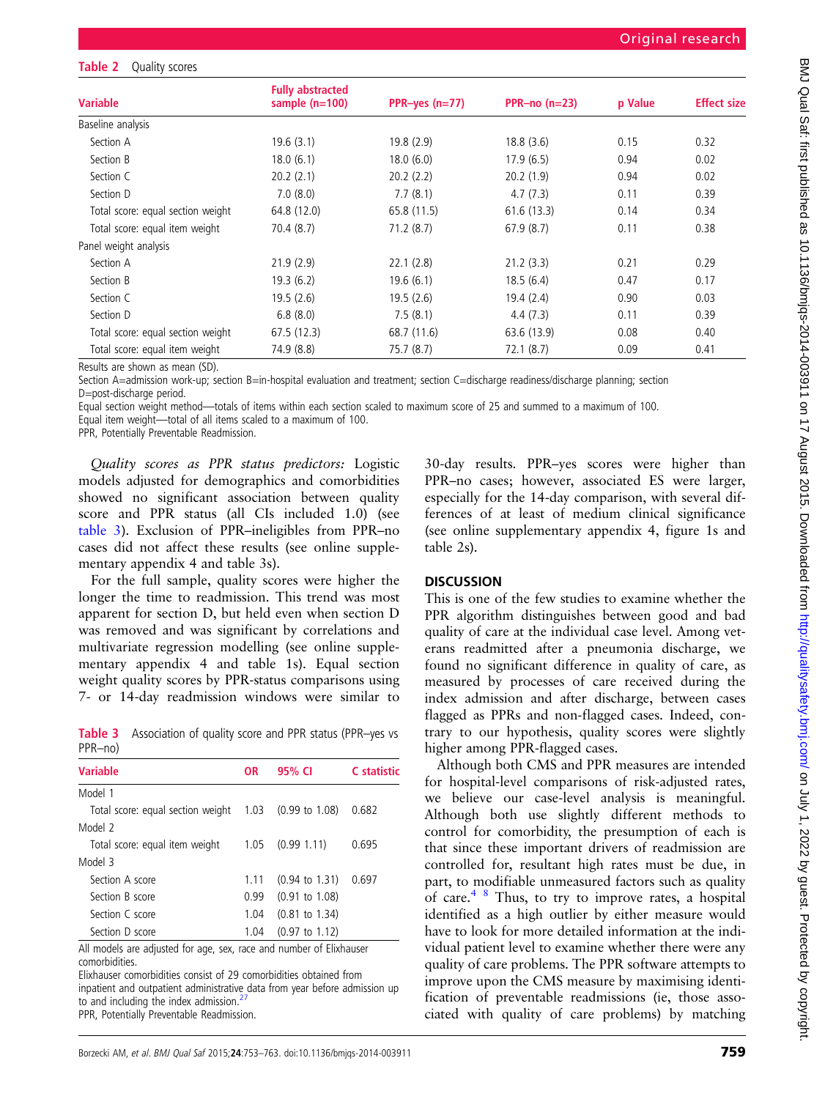#### <span id="page-6-0"></span>Table 2 Quality scores

| <b>Variable</b>                   | <b>Fully abstracted</b><br>sample $(n=100)$ |                  | PPR-no $(n=23)$ | p Value | <b>Effect size</b> |
|-----------------------------------|---------------------------------------------|------------------|-----------------|---------|--------------------|
|                                   |                                             | PPR-yes $(n=77)$ |                 |         |                    |
| Baseline analysis                 |                                             |                  |                 |         |                    |
| Section A                         | 19.6(3.1)                                   | 19.8(2.9)        | 18.8(3.6)       | 0.15    | 0.32               |
| Section B                         | 18.0(6.1)                                   | 18.0(6.0)        | 17.9(6.5)       | 0.94    | 0.02               |
| Section C                         | 20.2(2.1)                                   | 20.2(2.2)        | 20.2(1.9)       | 0.94    | 0.02               |
| Section D                         | 7.0(8.0)                                    | 7.7(8.1)         | 4.7(7.3)        | 0.11    | 0.39               |
| Total score: equal section weight | 64.8 (12.0)                                 | 65.8 (11.5)      | 61.6(13.3)      | 0.14    | 0.34               |
| Total score: equal item weight    | 70.4(8.7)                                   | 71.2(8.7)        | 67.9(8.7)       | 0.11    | 0.38               |
| Panel weight analysis             |                                             |                  |                 |         |                    |
| Section A                         | 21.9(2.9)                                   | 22.1(2.8)        | 21.2(3.3)       | 0.21    | 0.29               |
| Section B                         | 19.3(6.2)                                   | 19.6(6.1)        | 18.5(6.4)       | 0.47    | 0.17               |
| Section C                         | 19.5(2.6)                                   | 19.5(2.6)        | 19.4(2.4)       | 0.90    | 0.03               |
| Section D                         | 6.8(8.0)                                    | 7.5(8.1)         | 4.4(7.3)        | 0.11    | 0.39               |
| Total score: equal section weight | 67.5 (12.3)                                 | 68.7 (11.6)      | 63.6 (13.9)     | 0.08    | 0.40               |
| Total score: equal item weight    | 74.9 (8.8)                                  | 75.7 (8.7)       | 72.1(8.7)       | 0.09    | 0.41               |

Results are shown as mean (SD).

Section A=admission work-up; section B=in-hospital evaluation and treatment; section C=discharge readiness/discharge planning; section D=post-discharge period.

Equal section weight method—totals of items within each section scaled to maximum score of 25 and summed to a maximum of 100. Equal item weight—total of all items scaled to a maximum of 100.

PPR, Potentially Preventable Readmission.

Quality scores as PPR status predictors: Logistic models adjusted for demographics and comorbidities showed no significant association between quality score and PPR status (all CIs included 1.0) (see table 3). Exclusion of PPR–ineligibles from PPR–no cases did not affect these results (see online supplementary appendix 4 and table 3s).

For the full sample, quality scores were higher the longer the time to readmission. This trend was most apparent for section D, but held even when section D was removed and was significant by correlations and multivariate regression modelling (see online supplementary appendix 4 and table 1s). Equal section weight quality scores by PPR-status comparisons using 7- or 14-day readmission windows were similar to

Table 3 Association of quality score and PPR status (PPR–yes vs PPR–no)

| <b>Variable</b>                                                     | <b>OR</b> | 95% CI                    | C statistic |  |  |
|---------------------------------------------------------------------|-----------|---------------------------|-------------|--|--|
| Model 1                                                             |           |                           |             |  |  |
| Total score: equal section weight 1.03 (0.99 to 1.08)               |           |                           | 0.682       |  |  |
| Model 2                                                             |           |                           |             |  |  |
| Total score: equal item weight                                      | 1.05      | (0.99 1.11)               | 0.695       |  |  |
| Model 3                                                             |           |                           |             |  |  |
| Section A score                                                     | 1.11      | $(0.94 \text{ to } 1.31)$ | 0.697       |  |  |
| Section B score                                                     | 0.99      | $(0.91 \text{ to } 1.08)$ |             |  |  |
| Section C score                                                     | 1.04      | $(0.81 \text{ to } 1.34)$ |             |  |  |
| Section D score                                                     | 1.04      | $(0.97 \text{ to } 1.12)$ |             |  |  |
| All models are adjusted for age, sex, rase and number of Flixhouser |           |                           |             |  |  |

All models are adjusted for age, sex, race and number of Elixhauser comorbidities.

Elixhauser comorbidities consist of 29 comorbidities obtained from inpatient and outpatient administrative data from year before admission up to and including the index admission. $<sup>2</sup>$ </sup>

PPR, Potentially Preventable Readmission.

30-day results. PPR–yes scores were higher than PPR–no cases; however, associated ES were larger, especially for the 14-day comparison, with several differences of at least of medium clinical significance (see online supplementary appendix 4, figure 1s and table 2s).

#### **DISCUSSION**

This is one of the few studies to examine whether the PPR algorithm distinguishes between good and bad quality of care at the individual case level. Among veterans readmitted after a pneumonia discharge, we found no significant difference in quality of care, as measured by processes of care received during the index admission and after discharge, between cases flagged as PPRs and non-flagged cases. Indeed, contrary to our hypothesis, quality scores were slightly higher among PPR-flagged cases.

Although both CMS and PPR measures are intended for hospital-level comparisons of risk-adjusted rates, we believe our case-level analysis is meaningful. Although both use slightly different methods to control for comorbidity, the presumption of each is that since these important drivers of readmission are controlled for, resultant high rates must be due, in part, to modifiable unmeasured factors such as quality of care.<sup>[4 8](#page-9-0)</sup> Thus, to try to improve rates, a hospital identified as a high outlier by either measure would have to look for more detailed information at the individual patient level to examine whether there were any quality of care problems. The PPR software attempts to improve upon the CMS measure by maximising identification of preventable readmissions (ie, those associated with quality of care problems) by matching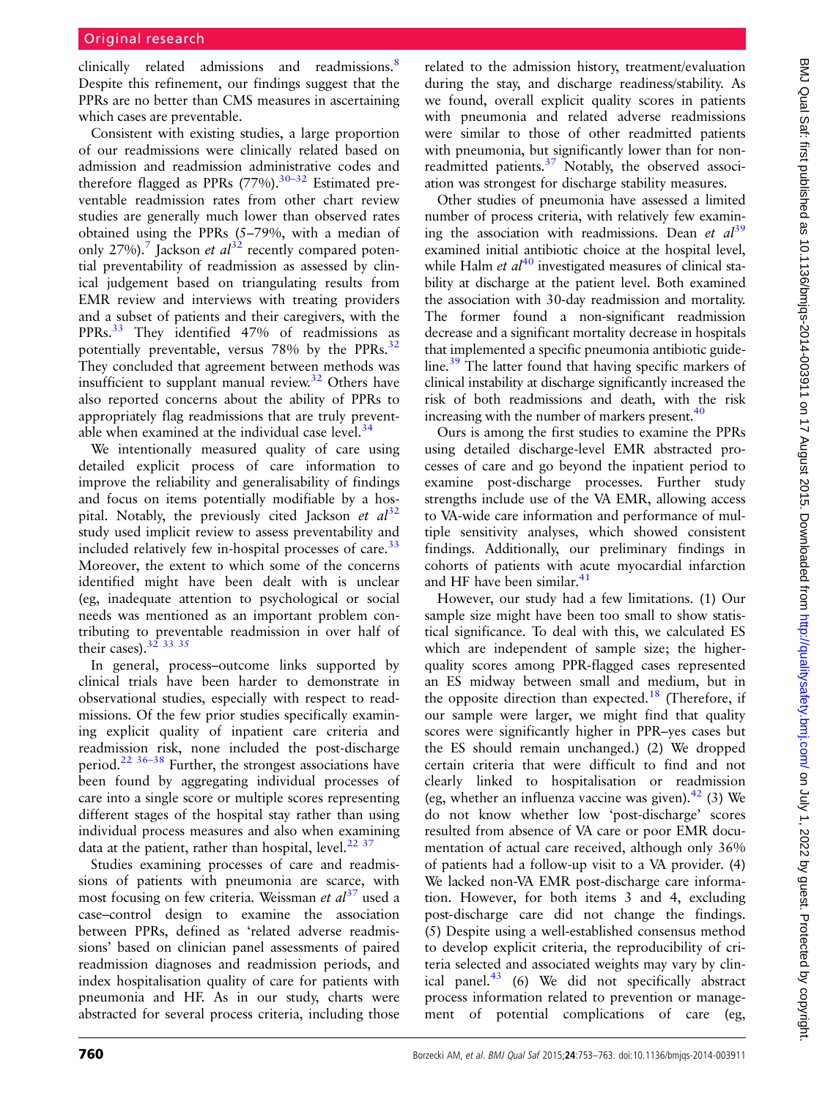clinically related admissions and readmissions.<sup>[8](#page-9-0)</sup> Despite this refinement, our findings suggest that the PPRs are no better than CMS measures in ascertaining which cases are preventable.

Consistent with existing studies, a large proportion of our readmissions were clinically related based on admission and readmission administrative codes and therefore flagged as PPRs  $(77%)$ .<sup>30–[32](#page-9-0)</sup> Estimated preventable readmission rates from other chart review studies are generally much lower than observed rates obtained using the PPRs (5–79%, with a median of only 2[7](#page-9-0)%).<sup>7</sup> Jackson *et al*<sup>[32](#page-9-0)</sup> recently compared potential preventability of readmission as assessed by clinical judgement based on triangulating results from EMR review and interviews with treating providers and a subset of patients and their caregivers, with the PPRs.<sup>[33](#page-9-0)</sup> They identified 47% of readmissions as potentially preventable, versus 78% by the PPRs.<sup>[32](#page-9-0)</sup> They concluded that agreement between methods was insufficient to supplant manual review.<sup>[32](#page-9-0)</sup> Others have also reported concerns about the ability of PPRs to appropriately flag readmissions that are truly preventable when examined at the individual case level. $34$ 

We intentionally measured quality of care using detailed explicit process of care information to improve the reliability and generalisability of findings and focus on items potentially modifiable by a hospital. Notably, the previously cited Jackson et  $al^{32}$  $al^{32}$  $al^{32}$ study used implicit review to assess preventability and included relatively few in-hospital processes of care. $33$ Moreover, the extent to which some of the concerns identified might have been dealt with is unclear (eg, inadequate attention to psychological or social needs was mentioned as an important problem contributing to preventable readmission in over half of their cases).<sup>32</sup> <sup>33</sup> <sup>35</sup>

In general, process–outcome links supported by clinical trials have been harder to demonstrate in observational studies, especially with respect to readmissions. Of the few prior studies specifically examining explicit quality of inpatient care criteria and readmission risk, none included the post-discharge period.[22](#page-9-0) 36–[38](#page-10-0) Further, the strongest associations have been found by aggregating individual processes of care into a single score or multiple scores representing different stages of the hospital stay rather than using individual process measures and also when examining data at the patient, rather than hospital, level. $2237$  $2237$ 

Studies examining processes of care and readmissions of patients with pneumonia are scarce, with most focusing on few criteria. Weissman *et al*<sup>[37](#page-10-0)</sup> used a case–control design to examine the association between PPRs, defined as 'related adverse readmissions' based on clinician panel assessments of paired readmission diagnoses and readmission periods, and index hospitalisation quality of care for patients with pneumonia and HF. As in our study, charts were abstracted for several process criteria, including those

related to the admission history, treatment/evaluation during the stay, and discharge readiness/stability. As we found, overall explicit quality scores in patients with pneumonia and related adverse readmissions were similar to those of other readmitted patients with pneumonia, but significantly lower than for non-readmitted patients.<sup>[37](#page-10-0)</sup> Notably, the observed association was strongest for discharge stability measures.

Other studies of pneumonia have assessed a limited number of process criteria, with relatively few examining the association with readmissions. Dean et  $al^{39}$  $al^{39}$  $al^{39}$ examined initial antibiotic choice at the hospital level, while Halm *et al*<sup>[40](#page-10-0)</sup> investigated measures of clinical stability at discharge at the patient level. Both examined the association with 30-day readmission and mortality. The former found a non-significant readmission decrease and a significant mortality decrease in hospitals that implemented a specific pneumonia antibiotic guideline[.39](#page-10-0) The latter found that having specific markers of clinical instability at discharge significantly increased the risk of both readmissions and death, with the risk increasing with the number of markers present. $40$ 

Ours is among the first studies to examine the PPRs using detailed discharge-level EMR abstracted processes of care and go beyond the inpatient period to examine post-discharge processes. Further study strengths include use of the VA EMR, allowing access to VA-wide care information and performance of multiple sensitivity analyses, which showed consistent findings. Additionally, our preliminary findings in cohorts of patients with acute myocardial infarction and HF have been similar.<sup>[41](#page-10-0)</sup>

However, our study had a few limitations. (1) Our sample size might have been too small to show statistical significance. To deal with this, we calculated ES which are independent of sample size; the higherquality scores among PPR-flagged cases represented an ES midway between small and medium, but in the opposite direction than expected.<sup>[18](#page-9-0)</sup> (Therefore, if our sample were larger, we might find that quality scores were significantly higher in PPR–yes cases but the ES should remain unchanged.) (2) We dropped certain criteria that were difficult to find and not clearly linked to hospitalisation or readmission (eg, whether an influenza vaccine was given). $42$  (3) We do not know whether low 'post-discharge' scores resulted from absence of VA care or poor EMR documentation of actual care received, although only 36% of patients had a follow-up visit to a VA provider. (4) We lacked non-VA EMR post-discharge care information. However, for both items 3 and 4, excluding post-discharge care did not change the findings. (5) Despite using a well-established consensus method to develop explicit criteria, the reproducibility of criteria selected and associated weights may vary by clinical panel. $43$  (6) We did not specifically abstract process information related to prevention or management of potential complications of care (eg,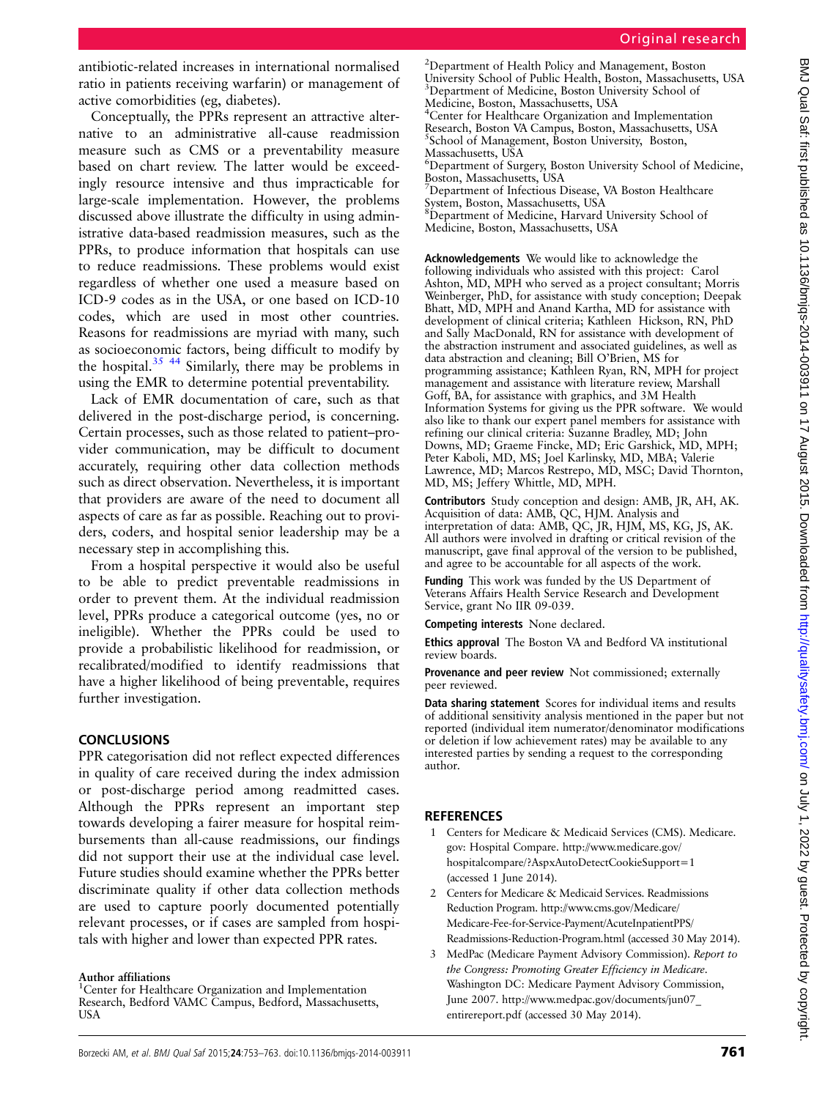<span id="page-8-0"></span>antibiotic-related increases in international normalised ratio in patients receiving warfarin) or management of active comorbidities (eg, diabetes).

Conceptually, the PPRs represent an attractive alternative to an administrative all-cause readmission measure such as CMS or a preventability measure based on chart review. The latter would be exceedingly resource intensive and thus impracticable for large-scale implementation. However, the problems discussed above illustrate the difficulty in using administrative data-based readmission measures, such as the PPRs, to produce information that hospitals can use to reduce readmissions. These problems would exist regardless of whether one used a measure based on ICD-9 codes as in the USA, or one based on ICD-10 codes, which are used in most other countries. Reasons for readmissions are myriad with many, such as socioeconomic factors, being difficult to modify by the hospital. $35 \frac{44}{3}$  Similarly, there may be problems in using the EMR to determine potential preventability.

Lack of EMR documentation of care, such as that delivered in the post-discharge period, is concerning. Certain processes, such as those related to patient–provider communication, may be difficult to document accurately, requiring other data collection methods such as direct observation. Nevertheless, it is important that providers are aware of the need to document all aspects of care as far as possible. Reaching out to providers, coders, and hospital senior leadership may be a necessary step in accomplishing this.

From a hospital perspective it would also be useful to be able to predict preventable readmissions in order to prevent them. At the individual readmission level, PPRs produce a categorical outcome (yes, no or ineligible). Whether the PPRs could be used to provide a probabilistic likelihood for readmission, or recalibrated/modified to identify readmissions that have a higher likelihood of being preventable, requires further investigation.

# **CONCLUSIONS**

PPR categorisation did not reflect expected differences in quality of care received during the index admission or post-discharge period among readmitted cases. Although the PPRs represent an important step towards developing a fairer measure for hospital reimbursements than all-cause readmissions, our findings did not support their use at the individual case level. Future studies should examine whether the PPRs better discriminate quality if other data collection methods are used to capture poorly documented potentially relevant processes, or if cases are sampled from hospitals with higher and lower than expected PPR rates.

## Author affiliations

<sup>1</sup>Center for Healthcare Organization and Implementation Research, Bedford VAMC Campus, Bedford, Massachusetts, USA

<sup>2</sup>Department of Health Policy and Management, Boston University School of Public Health, Boston, Massachusetts, USA <sup>3</sup>Department of Medicine, Boston University School of Medicine, Boston, Massachusetts, USA

4 Center for Healthcare Organization and Implementation Research, Boston VA Campus, Boston, Massachusetts, USA 5 School of Management, Boston University, Boston, Massachusetts, USA

6 Department of Surgery, Boston University School of Medicine, Boston, Massachusetts, USA

7 Department of Infectious Disease, VA Boston Healthcare System, Boston, Massachusetts, USA <sup>8</sup>Department of Medicine, Harvard University School of

Medicine, Boston, Massachusetts, USA

Acknowledgements We would like to acknowledge the following individuals who assisted with this project: Carol Ashton, MD, MPH who served as a project consultant; Morris Weinberger, PhD, for assistance with study conception; Deepak Bhatt, MD, MPH and Anand Kartha, MD for assistance with development of clinical criteria; Kathleen Hickson, RN, PhD and Sally MacDonald, RN for assistance with development of the abstraction instrument and associated guidelines, as well as data abstraction and cleaning; Bill O'Brien, MS for programming assistance; Kathleen Ryan, RN, MPH for project management and assistance with literature review, Marshall Goff, BA, for assistance with graphics, and 3M Health Information Systems for giving us the PPR software. We would also like to thank our expert panel members for assistance with refining our clinical criteria: Suzanne Bradley, MD; John Downs, MD; Graeme Fincke, MD; Eric Garshick, MD, MPH; Peter Kaboli, MD, MS; Joel Karlinsky, MD, MBA; Valerie Lawrence, MD; Marcos Restrepo, MD, MSC; David Thornton, MD, MS; Jeffery Whittle, MD, MPH.

Contributors Study conception and design: AMB, JR, AH, AK. Acquisition of data: AMB, QC, HJM. Analysis and interpretation of data: AMB, QC, JR, HJM, MS, KG, JS, AK. All authors were involved in drafting or critical revision of the manuscript, gave final approval of the version to be published, and agree to be accountable for all aspects of the work.

Funding This work was funded by the US Department of Veterans Affairs Health Service Research and Development Service, grant No IIR 09-039.

Competing interests None declared.

Ethics approval The Boston VA and Bedford VA institutional review boards.

Provenance and peer review Not commissioned; externally peer reviewed.

Data sharing statement Scores for individual items and results of additional sensitivity analysis mentioned in the paper but not reported (individual item numerator/denominator modifications or deletion if low achievement rates) may be available to any interested parties by sending a request to the corresponding author.

# **REFERENCES**

- 1 Centers for Medicare & Medicaid Services (CMS). Medicare. gov: Hospital Compare. [http://www.medicare.gov/](http://www.medicare.gov/hospitalcompare/?AspxAutoDetectCookieSupport=1) [hospitalcompare/?AspxAutoDetectCookieSupport=1](http://www.medicare.gov/hospitalcompare/?AspxAutoDetectCookieSupport=1) (accessed 1 June 2014).
- 2 Centers for Medicare & Medicaid Services. Readmissions Reduction Program. [http://www.cms.gov/Medicare/](http://www.cms.gov/Medicare/Medicare-Fee-for-Service-Payment/AcuteInpatientPPS/Readmissions-Reduction-Program.html) [Medicare-Fee-for-Service-Payment/AcuteInpatientPPS/](http://www.cms.gov/Medicare/Medicare-Fee-for-Service-Payment/AcuteInpatientPPS/Readmissions-Reduction-Program.html) [Readmissions-Reduction-Program.html](http://www.cms.gov/Medicare/Medicare-Fee-for-Service-Payment/AcuteInpatientPPS/Readmissions-Reduction-Program.html) (accessed 30 May 2014).
- 3 MedPac (Medicare Payment Advisory Commission). Report to the Congress: Promoting Greater Efficiency in Medicare. Washington DC: Medicare Payment Advisory Commission, June 2007. [http://www.medpac.gov/documents/jun07\\_](http://www.medpac.gov/documents/jun07_entirereport.pdf) [entirereport.pdf](http://www.medpac.gov/documents/jun07_entirereport.pdf) (accessed 30 May 2014).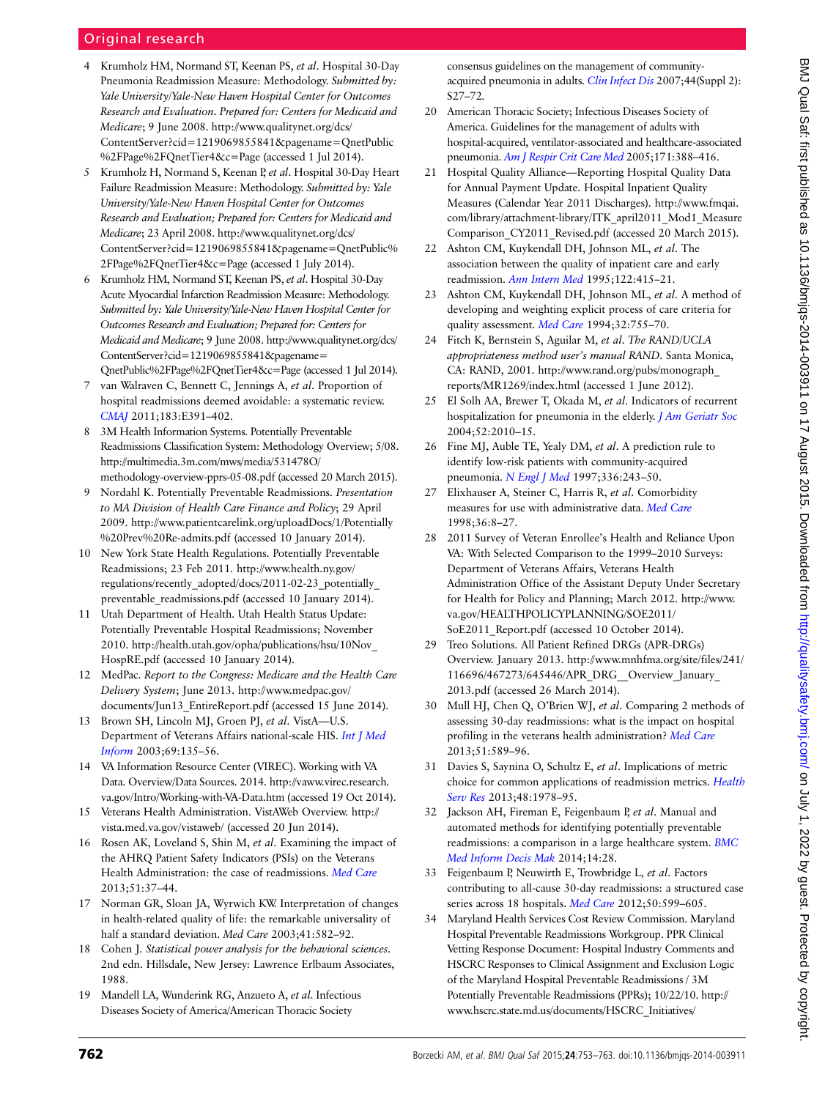# <span id="page-9-0"></span>Original research

- 4 Krumholz HM, Normand ST, Keenan PS, et al. Hospital 30-Day Pneumonia Readmission Measure: Methodology. Submitted by: Yale University/Yale-New Haven Hospital Center for Outcomes Research and Evaluation. Prepared for: Centers for Medicaid and Medicare; 9 June 2008. [http://www.qualitynet.org/dcs/](http://www.qualitynet.org/dcs/ContentServer?cid=1219069855841&pagename=QnetPublic%2FPage%2FQnetTier4&c=Page) [ContentServer?cid=1219069855841&pagename=QnetPublic](http://www.qualitynet.org/dcs/ContentServer?cid=1219069855841&pagename=QnetPublic%2FPage%2FQnetTier4&c=Page) [%2FPage%2FQnetTier4&c=Page](http://www.qualitynet.org/dcs/ContentServer?cid=1219069855841&pagename=QnetPublic%2FPage%2FQnetTier4&c=Page) (accessed 1 Jul 2014).
- 5 Krumholz H, Normand S, Keenan P, et al. Hospital 30-Day Heart Failure Readmission Measure: Methodology. Submitted by: Yale University/Yale-New Haven Hospital Center for Outcomes Research and Evaluation; Prepared for: Centers for Medicaid and Medicare; 23 April 2008. [http://www.qualitynet.org/dcs/](http://www.qualitynet.org/dcs/ContentServer?cid=1219069855841&pagename=QnetPublic%2FPage%2FQnetTier4&c=Page) [ContentServer?cid=1219069855841&pagename=QnetPublic%](http://www.qualitynet.org/dcs/ContentServer?cid=1219069855841&pagename=QnetPublic%2FPage%2FQnetTier4&c=Page) [2FPage%2FQnetTier4&c=Page](http://www.qualitynet.org/dcs/ContentServer?cid=1219069855841&pagename=QnetPublic%2FPage%2FQnetTier4&c=Page) (accessed 1 July 2014).
- 6 Krumholz HM, Normand ST, Keenan PS, et al. Hospital 30-Day Acute Myocardial Infarction Readmission Measure: Methodology. Submitted by: Yale University/Yale-New Haven Hospital Center for Outcomes Research and Evaluation; Prepared for: Centers for Medicaid and Medicare; 9 June 2008. [http://www.qualitynet.org/dcs/](http://www.qualitynet.org/dcs/ContentServer?cid=1219069855841&pagename=QnetPublic%2FPage%2FQnetTier4&c=Page) [ContentServer?cid=1219069855841&pagename=](http://www.qualitynet.org/dcs/ContentServer?cid=1219069855841&pagename=QnetPublic%2FPage%2FQnetTier4&c=Page) [QnetPublic%2FPage%2FQnetTier4&c=Page](http://www.qualitynet.org/dcs/ContentServer?cid=1219069855841&pagename=QnetPublic%2FPage%2FQnetTier4&c=Page) (accessed 1 Jul 2014).
- 7 van Walraven C, Bennett C, Jennings A, et al. Proportion of hospital readmissions deemed avoidable: a systematic review. [CMAJ](http://dx.doi.org/10.1503/cmaj.101860) 2011;183:E391–402.
- 8 3M Health Information Systems. Potentially Preventable Readmissions Classification System: Methodology Overview; 5/08. [http://multimedia.3m.com/mws/media/531478O/](http://multimedia.3m.com/mws/media/531478O/methodology-overview-pprs-05-08.pdf) [methodology-overview-pprs-05-08.pdf](http://multimedia.3m.com/mws/media/531478O/methodology-overview-pprs-05-08.pdf) (accessed 20 March 2015).
- 9 Nordahl K. Potentially Preventable Readmissions. Presentation to MA Division of Health Care Finance and Policy; 29 April 2009. [http://www.patientcarelink.org/uploadDocs/1/Potentially](http://www.patientcarelink.org/uploadDocs/1/Potentially%20Prev%20Re-admits.pdf) [%20Prev%20Re-admits.pdf](http://www.patientcarelink.org/uploadDocs/1/Potentially%20Prev%20Re-admits.pdf) (accessed 10 January 2014).
- 10 New York State Health Regulations. Potentially Preventable Readmissions; 23 Feb 2011. [http://www.health.ny.gov/](http://www.health.ny.gov/regulations/recently_adopted/docs/2011-02-23_potentially_preventable_readmissions.pdf) regulations/recently\_adopted/docs/2011-02-23\_potentially [preventable\\_readmissions.pdf](http://www.health.ny.gov/regulations/recently_adopted/docs/2011-02-23_potentially_preventable_readmissions.pdf) (accessed 10 January 2014).
- 11 Utah Department of Health. Utah Health Status Update: Potentially Preventable Hospital Readmissions; November 2010. [http://health.utah.gov/opha/publications/hsu/10Nov\\_](http://health.utah.gov/opha/publications/hsu/10Nov_HospRE.pdf) [HospRE.pdf](http://health.utah.gov/opha/publications/hsu/10Nov_HospRE.pdf) (accessed 10 January 2014).
- 12 MedPac. Report to the Congress: Medicare and the Health Care Delivery System; June 2013. [http://www.medpac.gov/](http://www.medpac.gov/documents/Jun13_EntireReport.pdf) documents/Jun13 EntireReport.pdf (accessed 15 June 2014).
- 13 Brown SH, Lincoln MJ, Groen PJ, et al. VistA—U.S. Department of Veterans Affairs national-scale HIS. [Int J Med](http://dx.doi.org/10.1016/S1386-5056(02)00131-4) [Inform](http://dx.doi.org/10.1016/S1386-5056(02)00131-4) 2003;69:135–56.
- 14 VA Information Resource Center (VIREC). Working with VA Data. Overview/Data Sources. 2014. [http://vaww.virec.research.](http://vaww.virec.research.va.gov/Intro/Working-with-VA-Data.htm) [va.gov/Intro/Working-with-VA-Data.htm](http://vaww.virec.research.va.gov/Intro/Working-with-VA-Data.htm) (accessed 19 Oct 2014).
- 15 Veterans Health Administration. VistAWeb Overview. [http://](http://vista.med.va.gov/vistaweb/) [vista.med.va.gov/vistaweb/](http://vista.med.va.gov/vistaweb/) (accessed 20 Jun 2014).
- 16 Rosen AK, Loveland S, Shin M, et al. Examining the impact of the AHRQ Patient Safety Indicators (PSIs) on the Veterans Health Administration: the case of readmissions. [Med Care](http://dx.doi.org/10.1097/MLR.0b013e318270c0f7) 2013;51:37–44.
- 17 Norman GR, Sloan JA, Wyrwich KW. Interpretation of changes in health-related quality of life: the remarkable universality of half a standard deviation. Med Care 2003;41:582–92.
- 18 Cohen J. Statistical power analysis for the behavioral sciences. 2nd edn. Hillsdale, New Jersey: Lawrence Erlbaum Associates, 1988.
- 19 Mandell LA, Wunderink RG, Anzueto A, et al. Infectious Diseases Society of America/American Thoracic Society

consensus guidelines on the management of communityacquired pneumonia in adults. *[Clin Infect Dis](http://dx.doi.org/10.1086/511159)* 2007;44(Suppl 2): S27–72.

- 20 American Thoracic Society; Infectious Diseases Society of America. Guidelines for the management of adults with hospital-acquired, ventilator-associated and healthcare-associated pneumonia. [Am J Respir Crit Care Med](http://dx.doi.org/10.1164/rccm.200405-644ST) 2005;171:388-416.
- 21 Hospital Quality Alliance—Reporting Hospital Quality Data for Annual Payment Update. Hospital Inpatient Quality Measures (Calendar Year 2011 Discharges). http://www.fmqai. com/library/attachment-library/ITK\_april2011\_Mod1\_Measure Comparison\_CY2011\_Revised.pdf (accessed 20 March 2015).
- 22 Ashton CM, Kuykendall DH, Johnson ML, et al. The association between the quality of inpatient care and early readmission. [Ann Intern Med](http://dx.doi.org/10.7326/0003-4819-122-6-199503150-00003) 1995;122:415–21.
- 23 Ashton CM, Kuykendall DH, Johnson ML, et al. A method of developing and weighting explicit process of care criteria for quality assessment. [Med Care](http://dx.doi.org/10.1097/00005650-199408000-00001) 1994;32:755-70.
- 24 Fitch K, Bernstein S, Aguilar M, et al. The RAND/UCLA appropriateness method user's manual RAND. Santa Monica, CA: RAND, 2001. [http://www.rand.org/pubs/monograph\\_](http://www.rand.org/pubs/monograph_reports/MR1269/index.html) [reports/MR1269/index.html](http://www.rand.org/pubs/monograph_reports/MR1269/index.html) (accessed 1 June 2012).
- 25 El Solh AA, Brewer T, Okada M, et al. Indicators of recurrent hospitalization for pneumonia in the elderly. *[J Am Geriatr Soc](http://dx.doi.org/10.1111/j.1532-5415.2004.52556.x)* 2004;52:2010–15.
- 26 Fine MJ, Auble TE, Yealy DM, et al. A prediction rule to identify low-risk patients with community-acquired pneumonia. [N Engl J Med](http://dx.doi.org/10.1056/NEJM199701233360402) 1997;336:243-50.
- 27 Elixhauser A, Steiner C, Harris R, et al. Comorbidity measures for use with administrative data. [Med Care](http://dx.doi.org/10.1097/00005650-199801000-00004) 1998;36:8–27.
- 28 2011 Survey of Veteran Enrollee's Health and Reliance Upon VA: With Selected Comparison to the 1999–2010 Surveys: Department of Veterans Affairs, Veterans Health Administration Office of the Assistant Deputy Under Secretary for Health for Policy and Planning; March 2012. http://www. va.gov/HEALTHPOLICYPLANNING/SOE2011/ SoE2011\_Report.pdf (accessed 10 October 2014).
- 29 Treo Solutions. All Patient Refined DRGs (APR-DRGs) Overview. January 2013. [http://www.mnhfma.org/site/files/241/](http://www.mnhfma.org/site/files/241/116696/467273/645446/APR_DRG__Overview_January_2013.pdf) [116696/467273/645446/APR\\_DRG\\_\\_Overview\\_January\\_](http://www.mnhfma.org/site/files/241/116696/467273/645446/APR_DRG__Overview_January_2013.pdf) [2013.pdf](http://www.mnhfma.org/site/files/241/116696/467273/645446/APR_DRG__Overview_January_2013.pdf) (accessed 26 March 2014).
- 30 Mull HJ, Chen Q, O'Brien WJ, et al. Comparing 2 methods of assessing 30-day readmissions: what is the impact on hospital profiling in the veterans health administration? [Med Care](http://dx.doi.org/10.1097/MLR.0b013e31829019a4) 2013;51:589–96.
- 31 Davies S, Saynina O, Schultz E, et al. Implications of metric choice for common applications of readmission metrics. [Health](http://dx.doi.org/10.1111/1475-6773.12075) [Serv Res](http://dx.doi.org/10.1111/1475-6773.12075) 2013;48:1978–95.
- 32 Jackson AH, Fireman E, Feigenbaum P, et al. Manual and automated methods for identifying potentially preventable readmissions: a comparison in a large healthcare system. [BMC](http://dx.doi.org/10.1186/1472-6947-14-28) [Med Inform Decis Mak](http://dx.doi.org/10.1186/1472-6947-14-28) 2014;14:28.
- 33 Feigenbaum P, Neuwirth E, Trowbridge L, et al. Factors contributing to all-cause 30-day readmissions: a structured case series across 18 hospitals. [Med Care](http://dx.doi.org/10.1097/MLR.0b013e318249ce72) 2012;50:599-605.
- 34 Maryland Health Services Cost Review Commission. Maryland Hospital Preventable Readmissions Workgroup. PPR Clinical Vetting Response Document: Hospital Industry Comments and HSCRC Responses to Clinical Assignment and Exclusion Logic of the Maryland Hospital Preventable Readmissions / 3M Potentially Preventable Readmissions (PPRs); 10/22/10. [http://](http://www.hscrc.state.md.us/documents/HSCRC_Initiatives/QualityImprovement/MHPR/11–01-10/PPR_ClinicalVettingReponseDoc_2010-11-01.pdf) [www.hscrc.state.md.us/documents/HSCRC\\_Initiatives/](http://www.hscrc.state.md.us/documents/HSCRC_Initiatives/QualityImprovement/MHPR/11–01-10/PPR_ClinicalVettingReponseDoc_2010-11-01.pdf)